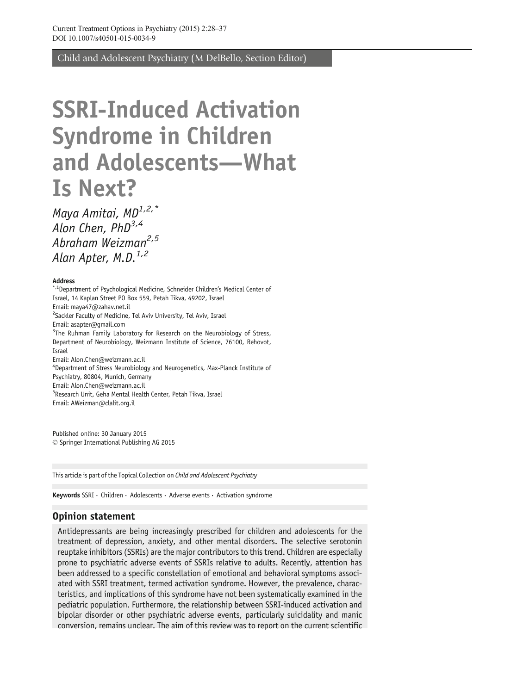Child and Adolescent Psychiatry (M DelBello, Section Editor)

# SSRI-Induced Activation Syndrome in Children and Adolescents—What Is Next?

Maya Amitai, MD<sup>1,2,\*</sup> Alon Chen, PhD<sup>3,4</sup> Abraham Weizman<sup>2,5</sup> Alan Apter,  $M.D.<sup>1,2</sup>$ 

#### Address

\*,<sup>1</sup>Department of Psychological Medicine, Schneider Children's Medical Center of Israel, 14 Kaplan Street PO Box 559, Petah Tikva, 49202, Israel Email: maya47@zahav.net.il <sup>2</sup>Sackler Faculty of Medicine, Tel Aviv University, Tel Aviv, Israel Email: asapter@gmail.com <sup>3</sup>The Ruhman Family Laboratory for Research on the Neurobiology of Stress, Department of Neurobiology, Weizmann Institute of Science, 76100, Rehovot, Israel Email: Alon.Chen@weizmann.ac.il 4 Department of Stress Neurobiology and Neurogenetics, Max-Planck Institute of Psychiatry, 80804, Munich, Germany Email: Alon.Chen@weizmann.ac.il 5 Research Unit, Geha Mental Health Center, Petah Tikva, Israel Email: AWeizman@clalit.org.il

Published online: 30 January 2015  $©$  Springer International Publishing AG 2015

This article is part of the Topical Collection on Child and Adolescent Psychiatry

Keywords SSRI · Children · Adolescents · Adverse events · Activation syndrome

#### Opinion statement

Antidepressants are being increasingly prescribed for children and adolescents for the treatment of depression, anxiety, and other mental disorders. The selective serotonin reuptake inhibitors (SSRIs) are the major contributors to this trend. Children are especially prone to psychiatric adverse events of SSRIs relative to adults. Recently, attention has been addressed to a specific constellation of emotional and behavioral symptoms associated with SSRI treatment, termed activation syndrome. However, the prevalence, characteristics, and implications of this syndrome have not been systematically examined in the pediatric population. Furthermore, the relationship between SSRI-induced activation and bipolar disorder or other psychiatric adverse events, particularly suicidality and manic conversion, remains unclear. The aim of this review was to report on the current scientific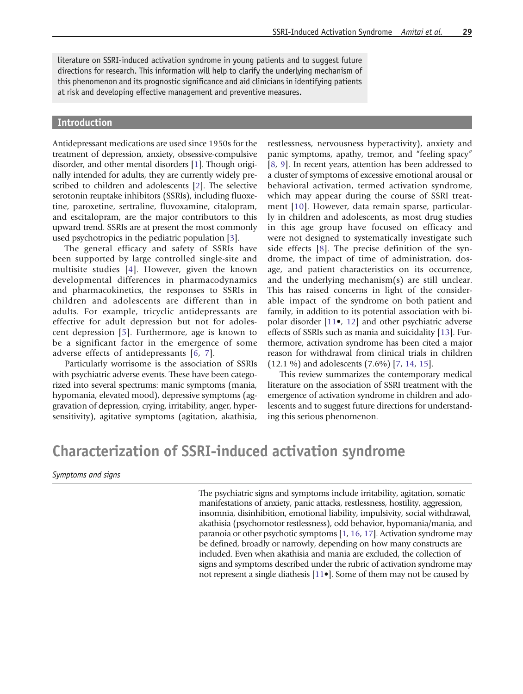literature on SSRI-induced activation syndrome in young patients and to suggest future directions for research. This information will help to clarify the underlying mechanism of this phenomenon and its prognostic significance and aid clinicians in identifying patients at risk and developing effective management and preventive measures.

#### Introduction

Antidepressant medications are used since 1950s for the treatment of depression, anxiety, obsessive-compulsive disorder, and other mental disorders [[1](#page-8-0)]. Though originally intended for adults, they are currently widely prescribed to children and adolescents [[2](#page-8-0)]. The selective serotonin reuptake inhibitors (SSRIs), including fluoxetine, paroxetine, sertraline, fluvoxamine, citalopram, and escitalopram, are the major contributors to this upward trend. SSRIs are at present the most commonly used psychotropics in the pediatric population [[3](#page-8-0)].

The general efficacy and safety of SSRIs have been supported by large controlled single-site and multisite studies [[4\]](#page-8-0). However, given the known developmental differences in pharmacodynamics and pharmacokinetics, the responses to SSRIs in children and adolescents are different than in adults. For example, tricyclic antidepressants are effective for adult depression but not for adolescent depression [[5](#page-8-0)]. Furthermore, age is known to be a significant factor in the emergence of some adverse effects of antidepressants [\[6,](#page-8-0) [7\]](#page-8-0).

Particularly worrisome is the association of SSRIs with psychiatric adverse events. These have been categorized into several spectrums: manic symptoms (mania, hypomania, elevated mood), depressive symptoms (aggravation of depression, crying, irritability, anger, hypersensitivity), agitative symptoms (agitation, akathisia,

restlessness, nervousness hyperactivity), anxiety and panic symptoms, apathy, tremor, and "feeling spacy" [\[8,](#page-8-0) [9\]](#page-8-0). In recent years, attention has been addressed to a cluster of symptoms of excessive emotional arousal or behavioral activation, termed activation syndrome, which may appear during the course of SSRI treatment [[10](#page-8-0)]. However, data remain sparse, particularly in children and adolescents, as most drug studies in this age group have focused on efficacy and were not designed to systematically investigate such side effects [[8](#page-8-0)]. The precise definition of the syndrome, the impact of time of administration, dosage, and patient characteristics on its occurrence, and the underlying mechanism(s) are still unclear. This has raised concerns in light of the considerable impact of the syndrome on both patient and family, in addition to its potential association with bipolar disorder [[11](#page-8-0)•, [12](#page-8-0)] and other psychiatric adverse effects of SSRIs such as mania and suicidality [[13](#page-8-0)]. Furthermore, activation syndrome has been cited a major reason for withdrawal from clinical trials in children (12.1 %) and adolescents (7.6%) [[7](#page-8-0), [14](#page-8-0), [15](#page-8-0)].

This review summarizes the contemporary medical literature on the association of SSRI treatment with the emergence of activation syndrome in children and adolescents and to suggest future directions for understanding this serious phenomenon.

# Characterization of SSRI-induced activation syndrome

Symptoms and signs

The psychiatric signs and symptoms include irritability, agitation, somatic manifestations of anxiety, panic attacks, restlessness, hostility, aggression, insomnia, disinhibition, emotional liability, impulsivity, social withdrawal, akathisia (psychomotor restlessness), odd behavior, hypomania/mania, and paranoia or other psychotic symptoms [\[1,](#page-8-0) [16,](#page-8-0) [17](#page-8-0)]. Activation syndrome may be defined, broadly or narrowly, depending on how many constructs are included. Even when akathisia and mania are excluded, the collection of signs and symptoms described under the rubric of activation syndrome may not represent a single diathesis [[11](#page-8-0)•]. Some of them may not be caused by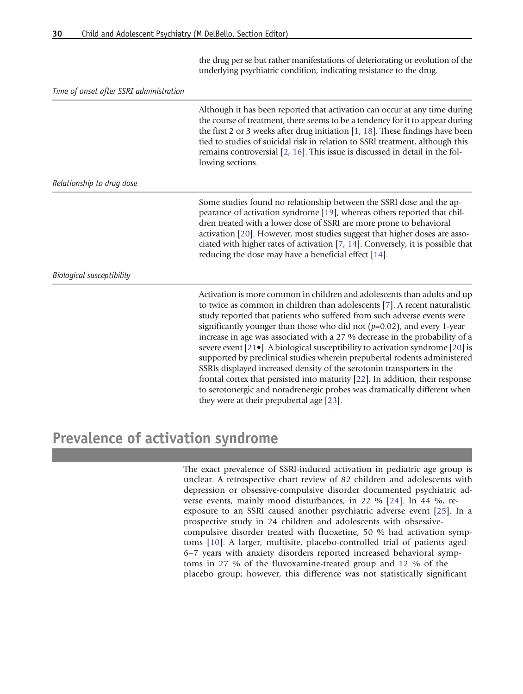the drug per se but rather manifestations of deteriorating or evolution of the underlying psychiatric condition, indicating resistance to the drug.

Time of onset after SSRI administration

|                           | Although it has been reported that activation can occur at any time during<br>the course of treatment, there seems to be a tendency for it to appear during<br>the first 2 or 3 weeks after drug initiation $[1, 18]$ . These findings have been<br>tied to studies of suicidal risk in relation to SSRI treatment, although this<br>remains controversial $[2, 16]$ . This issue is discussed in detail in the fol-<br>lowing sections.                                                                                                                                                                                                                                                                                                                                                                                                         |
|---------------------------|--------------------------------------------------------------------------------------------------------------------------------------------------------------------------------------------------------------------------------------------------------------------------------------------------------------------------------------------------------------------------------------------------------------------------------------------------------------------------------------------------------------------------------------------------------------------------------------------------------------------------------------------------------------------------------------------------------------------------------------------------------------------------------------------------------------------------------------------------|
| Relationship to drug dose |                                                                                                                                                                                                                                                                                                                                                                                                                                                                                                                                                                                                                                                                                                                                                                                                                                                  |
|                           | Some studies found no relationship between the SSRI dose and the ap-<br>pearance of activation syndrome [19], whereas others reported that chil-<br>dren treated with a lower dose of SSRI are more prone to behavioral<br>activation [20]. However, most studies suggest that higher doses are asso-<br>ciated with higher rates of activation [7, 14]. Conversely, it is possible that<br>reducing the dose may have a beneficial effect [14].                                                                                                                                                                                                                                                                                                                                                                                                 |
| Biological susceptibility |                                                                                                                                                                                                                                                                                                                                                                                                                                                                                                                                                                                                                                                                                                                                                                                                                                                  |
|                           | Activation is more common in children and adolescents than adults and up<br>to twice as common in children than adolescents [7]. A recent naturalistic<br>study reported that patients who suffered from such adverse events were<br>significantly younger than those who did not $(p=0.02)$ , and every 1-year<br>increase in age was associated with a 27 % decrease in the probability of a<br>severe event [21•]. A biological susceptibility to activation syndrome [20] is<br>supported by preclinical studies wherein prepubertal rodents administered<br>SSRIs displayed increased density of the serotonin transporters in the<br>frontal cortex that persisted into maturity [22]. In addition, their response<br>to serotonergic and noradrenergic probes was dramatically different when<br>they were at their prepubertal age [23]. |

# Prevalence of activation syndrome

The exact prevalence of SSRI-induced activation in pediatric age group is unclear. A retrospective chart review of 82 children and adolescents with depression or obsessive-compulsive disorder documented psychiatric adverse events, mainly mood disturbances, in 22 % [[24](#page-9-0)]. In 44 %, reexposure to an SSRI caused another psychiatric adverse event [\[25\]](#page-9-0). In a prospective study in 24 children and adolescents with obsessivecompulsive disorder treated with fluoxetine, 50 % had activation symptoms [\[10](#page-8-0)]. A larger, multisite, placebo-controlled trial of patients aged 6–7 years with anxiety disorders reported increased behavioral symptoms in 27 % of the fluvoxamine-treated group and 12 % of the placebo group; however, this difference was not statistically significant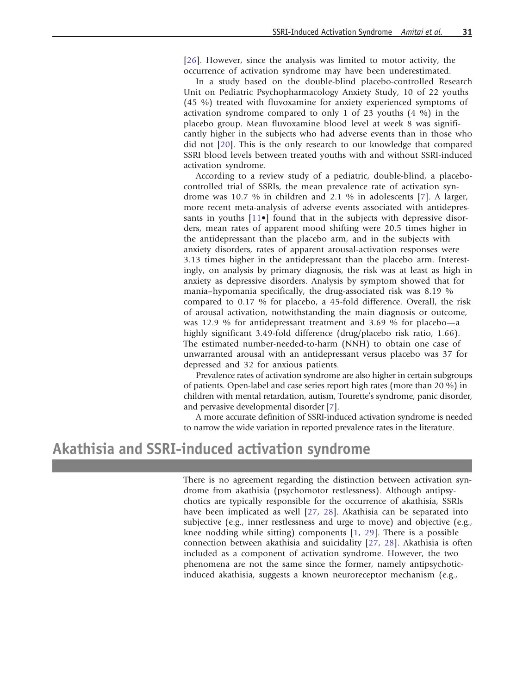[[26\]](#page-9-0). However, since the analysis was limited to motor activity, the occurrence of activation syndrome may have been underestimated.

In a study based on the double-blind placebo-controlled Research Unit on Pediatric Psychopharmacology Anxiety Study, 10 of 22 youths (45 %) treated with fluvoxamine for anxiety experienced symptoms of activation syndrome compared to only 1 of 23 youths (4 %) in the placebo group. Mean fluvoxamine blood level at week 8 was significantly higher in the subjects who had adverse events than in those who did not [[20](#page-8-0)]. This is the only research to our knowledge that compared SSRI blood levels between treated youths with and without SSRI-induced activation syndrome.

According to a review study of a pediatric, double-blind, a placebocontrolled trial of SSRIs, the mean prevalence rate of activation syndrome was 10.7 % in children and 2.1 % in adolescents [[7\]](#page-8-0). A larger, more recent meta-analysis of adverse events associated with antidepressants in youths  $[11\bullet]$  $[11\bullet]$  $[11\bullet]$  found that in the subjects with depressive disorders, mean rates of apparent mood shifting were 20.5 times higher in the antidepressant than the placebo arm, and in the subjects with anxiety disorders, rates of apparent arousal-activation responses were 3.13 times higher in the antidepressant than the placebo arm. Interestingly, on analysis by primary diagnosis, the risk was at least as high in anxiety as depressive disorders. Analysis by symptom showed that for mania–hypomania specifically, the drug-associated risk was 8.19 % compared to 0.17 % for placebo, a 45-fold difference. Overall, the risk of arousal activation, notwithstanding the main diagnosis or outcome, was 12.9 % for antidepressant treatment and 3.69 % for placebo—a highly significant 3.49-fold difference (drug/placebo risk ratio, 1.66). The estimated number-needed-to-harm (NNH) to obtain one case of unwarranted arousal with an antidepressant versus placebo was 37 for depressed and 32 for anxious patients.

Prevalence rates of activation syndrome are also higher in certain subgroups of patients. Open-label and case series report high rates (more than 20 %) in children with mental retardation, autism, Tourette's syndrome, panic disorder, and pervasive developmental disorder [\[7\]](#page-8-0).

A more accurate definition of SSRI-induced activation syndrome is needed to narrow the wide variation in reported prevalence rates in the literature.

# Akathisia and SSRI-induced activation syndrome

There is no agreement regarding the distinction between activation syndrome from akathisia (psychomotor restlessness). Although antipsychotics are typically responsible for the occurrence of akathisia, SSRIs have been implicated as well [\[27](#page-9-0), [28\]](#page-9-0). Akathisia can be separated into subjective (e.g., inner restlessness and urge to move) and objective (e.g., knee nodding while sitting) components [[1](#page-8-0), [29\]](#page-9-0). There is a possible connection between akathisia and suicidality [[27,](#page-9-0) [28](#page-9-0)]. Akathisia is often included as a component of activation syndrome. However, the two phenomena are not the same since the former, namely antipsychoticinduced akathisia, suggests a known neuroreceptor mechanism (e.g.,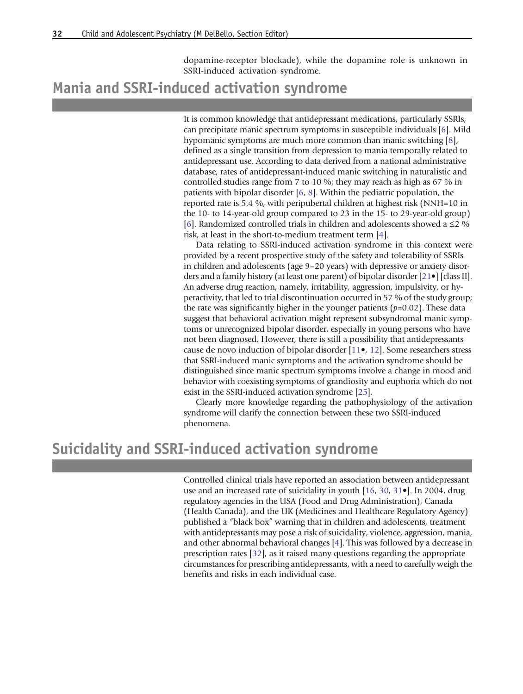dopamine-receptor blockade), while the dopamine role is unknown in SSRI-induced activation syndrome.

### Mania and SSRI-induced activation syndrome

It is common knowledge that antidepressant medications, particularly SSRIs, can precipitate manic spectrum symptoms in susceptible individuals [\[6\]](#page-8-0). Mild hypomanic symptoms are much more common than manic switching [[8](#page-8-0)], defined as a single transition from depression to mania temporally related to antidepressant use. According to data derived from a national administrative database, rates of antidepressant-induced manic switching in naturalistic and controlled studies range from 7 to 10 %; they may reach as high as 67 % in patients with bipolar disorder [\[6,](#page-8-0) [8](#page-8-0)]. Within the pediatric population, the reported rate is 5.4 %, with peripubertal children at highest risk (NNH=10 in the 10- to 14-year-old group compared to 23 in the 15- to 29-year-old group) [[6\]](#page-8-0). Randomized controlled trials in children and adolescents showed a  $\leq$ 2 % risk, at least in the short-to-medium treatment term [[4](#page-8-0)].

Data relating to SSRI-induced activation syndrome in this context were provided by a recent prospective study of the safety and tolerability of SSRIs in children and adolescents (age 9–20 years) with depressive or anxiety disorders and a family history (at least one parent) of bipolar disorder [[21](#page-8-0)•] [class II]. An adverse drug reaction, namely, irritability, aggression, impulsivity, or hyperactivity, that led to trial discontinuation occurred in 57 % of the study group; the rate was significantly higher in the younger patients  $(p=0.02)$ . These data suggest that behavioral activation might represent subsyndromal manic symptoms or unrecognized bipolar disorder, especially in young persons who have not been diagnosed. However, there is still a possibility that antidepressants cause de novo induction of bipolar disorder [\[11](#page-8-0)•, [12\]](#page-8-0). Some researchers stress that SSRI-induced manic symptoms and the activation syndrome should be distinguished since manic spectrum symptoms involve a change in mood and behavior with coexisting symptoms of grandiosity and euphoria which do not exist in the SSRI-induced activation syndrome [[25\]](#page-9-0).

Clearly more knowledge regarding the pathophysiology of the activation syndrome will clarify the connection between these two SSRI-induced phenomena.

## Suicidality and SSRI-induced activation syndrome

Controlled clinical trials have reported an association between antidepressant use and an increased rate of suicidality in youth [\[16,](#page-8-0) [30,](#page-9-0) [31](#page-9-0)•]. In 2004, drug regulatory agencies in the USA (Food and Drug Administration), Canada (Health Canada), and the UK (Medicines and Healthcare Regulatory Agency) published a "black box" warning that in children and adolescents, treatment with antidepressants may pose a risk of suicidality, violence, aggression, mania, and other abnormal behavioral changes [\[4\]](#page-8-0). This was followed by a decrease in prescription rates [\[32](#page-9-0)], as it raised many questions regarding the appropriate circumstances for prescribing antidepressants, with a need to carefully weigh the benefits and risks in each individual case.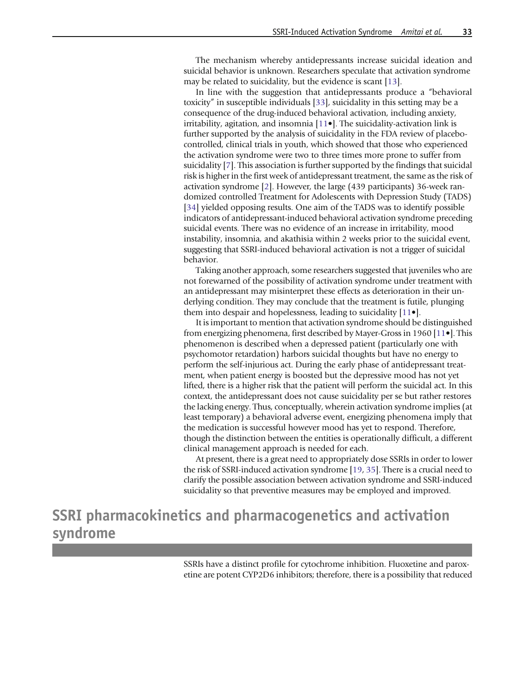The mechanism whereby antidepressants increase suicidal ideation and suicidal behavior is unknown. Researchers speculate that activation syndrome may be related to suicidality, but the evidence is scant [\[13](#page-8-0)].

In line with the suggestion that antidepressants produce a "behavioral toxicity" in susceptible individuals [[33](#page-9-0)], suicidality in this setting may be a consequence of the drug-induced behavioral activation, including anxiety, irritability, agitation, and insomnia [[11](#page-8-0)•]. The suicidality-activation link is further supported by the analysis of suicidality in the FDA review of placebocontrolled, clinical trials in youth, which showed that those who experienced the activation syndrome were two to three times more prone to suffer from suicidality [\[7\]](#page-8-0). This association is further supported by the findings that suicidal risk is higher in the first week of antidepressant treatment, the same as the risk of activation syndrome [\[2](#page-8-0)]. However, the large (439 participants) 36-week randomized controlled Treatment for Adolescents with Depression Study (TADS) [[34](#page-9-0)] yielded opposing results. One aim of the TADS was to identify possible indicators of antidepressant-induced behavioral activation syndrome preceding suicidal events. There was no evidence of an increase in irritability, mood instability, insomnia, and akathisia within 2 weeks prior to the suicidal event, suggesting that SSRI-induced behavioral activation is not a trigger of suicidal behavior.

Taking another approach, some researchers suggested that juveniles who are not forewarned of the possibility of activation syndrome under treatment with an antidepressant may misinterpret these effects as deterioration in their underlying condition. They may conclude that the treatment is futile, plunging them into despair and hopelessness, leading to suicidality [\[11](#page-8-0)•].

It is important to mention that activation syndrome should be distinguished from energizing phenomena, first described by Mayer-Gross in 1960 [[11](#page-8-0)•]. This phenomenon is described when a depressed patient (particularly one with psychomotor retardation) harbors suicidal thoughts but have no energy to perform the self-injurious act. During the early phase of antidepressant treatment, when patient energy is boosted but the depressive mood has not yet lifted, there is a higher risk that the patient will perform the suicidal act. In this context, the antidepressant does not cause suicidality per se but rather restores the lacking energy. Thus, conceptually, wherein activation syndrome implies (at least temporary) a behavioral adverse event, energizing phenomena imply that the medication is successful however mood has yet to respond. Therefore, though the distinction between the entities is operationally difficult, a different clinical management approach is needed for each.

At present, there is a great need to appropriately dose SSRIs in order to lower the risk of SSRI-induced activation syndrome [[19](#page-8-0), [35\]](#page-9-0). There is a crucial need to clarify the possible association between activation syndrome and SSRI-induced suicidality so that preventive measures may be employed and improved.

# SSRI pharmacokinetics and pharmacogenetics and activation syndrome

SSRIs have a distinct profile for cytochrome inhibition. Fluoxetine and paroxetine are potent CYP2D6 inhibitors; therefore, there is a possibility that reduced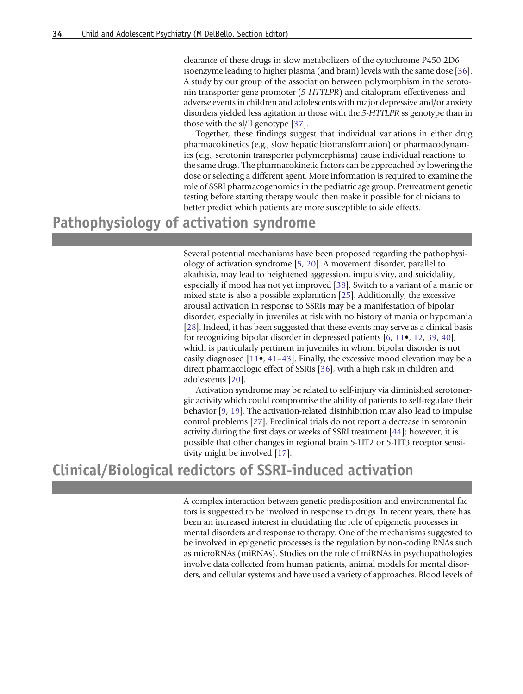clearance of these drugs in slow metabolizers of the cytochrome P450 2D6 isoenzyme leading to higher plasma (and brain) levels with the same dose [\[36](#page-9-0)]. A study by our group of the association between polymorphism in the serotonin transporter gene promoter (5-HTTLPR) and citalopram effectiveness and adverse events in children and adolescents with major depressive and/or anxiety disorders yielded less agitation in those with the 5-HTTLPR ss genotype than in those with the sl/ll genotype [[37](#page-9-0)].

Together, these findings suggest that individual variations in either drug pharmacokinetics (e.g., slow hepatic biotransformation) or pharmacodynamics (e.g., serotonin transporter polymorphisms) cause individual reactions to the same drugs. The pharmacokinetic factors can be approached by lowering the dose or selecting a different agent. More information is required to examine the role of SSRI pharmacogenomics in the pediatric age group. Pretreatment genetic testing before starting therapy would then make it possible for clinicians to better predict which patients are more susceptible to side effects.

### Pathophysiology of activation syndrome

Several potential mechanisms have been proposed regarding the pathophysiology of activation syndrome [\[5,](#page-8-0) [20\]](#page-8-0). A movement disorder, parallel to akathisia, may lead to heightened aggression, impulsivity, and suicidality, especially if mood has not yet improved [\[38\]](#page-9-0). Switch to a variant of a manic or mixed state is also a possible explanation [[25](#page-9-0)]. Additionally, the excessive arousal activation in response to SSRIs may be a manifestation of bipolar disorder, especially in juveniles at risk with no history of mania or hypomania [[28](#page-9-0)]. Indeed, it has been suggested that these events may serve as a clinical basis for recognizing bipolar disorder in depressed patients [[6,](#page-8-0) [11](#page-8-0)•, [12,](#page-8-0) [39,](#page-9-0) [40](#page-9-0)], which is particularly pertinent in juveniles in whom bipolar disorder is not easily diagnosed  $[11\bullet, 41-43]$  $[11\bullet, 41-43]$  $[11\bullet, 41-43]$  $[11\bullet, 41-43]$  $[11\bullet, 41-43]$ . Finally, the excessive mood elevation may be a direct pharmacologic effect of SSRIs [\[36\]](#page-9-0), with a high risk in children and adolescents [\[20](#page-8-0)].

Activation syndrome may be related to self-injury via diminished serotonergic activity which could compromise the ability of patients to self-regulate their behavior [\[9](#page-8-0), [19](#page-8-0)]. The activation-related disinhibition may also lead to impulse control problems [\[27\]](#page-9-0). Preclinical trials do not report a decrease in serotonin activity during the first days or weeks of SSRI treatment [[44\]](#page-9-0); however, it is possible that other changes in regional brain 5-HT2 or 5-HT3 receptor sensitivity might be involved [[17\]](#page-8-0).

### Clinical/Biological redictors of SSRI-induced activation

A complex interaction between genetic predisposition and environmental factors is suggested to be involved in response to drugs. In recent years, there has been an increased interest in elucidating the role of epigenetic processes in mental disorders and response to therapy. One of the mechanisms suggested to be involved in epigenetic processes is the regulation by non-coding RNAs such as microRNAs (miRNAs). Studies on the role of miRNAs in psychopathologies involve data collected from human patients, animal models for mental disorders, and cellular systems and have used a variety of approaches. Blood levels of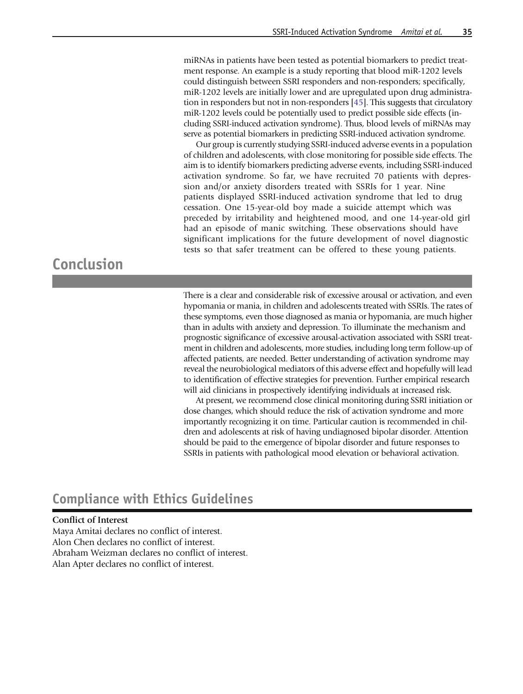miRNAs in patients have been tested as potential biomarkers to predict treatment response. An example is a study reporting that blood miR-1202 levels could distinguish between SSRI responders and non-responders; specifically, miR-1202 levels are initially lower and are upregulated upon drug administration in responders but not in non-responders [\[45\]](#page-9-0). This suggests that circulatory miR-1202 levels could be potentially used to predict possible side effects (including SSRI-induced activation syndrome). Thus, blood levels of miRNAs may serve as potential biomarkers in predicting SSRI-induced activation syndrome.

Our group is currently studying SSRI-induced adverse events in a population of children and adolescents, with close monitoring for possible side effects. The aim is to identify biomarkers predicting adverse events, including SSRI-induced activation syndrome. So far, we have recruited 70 patients with depression and/or anxiety disorders treated with SSRIs for 1 year. Nine patients displayed SSRI-induced activation syndrome that led to drug cessation. One 15-year-old boy made a suicide attempt which was preceded by irritability and heightened mood, and one 14-year-old girl had an episode of manic switching. These observations should have significant implications for the future development of novel diagnostic tests so that safer treatment can be offered to these young patients.

# Conclusion

There is a clear and considerable risk of excessive arousal or activation, and even hypomania or mania, in children and adolescents treated with SSRIs. The rates of these symptoms, even those diagnosed as mania or hypomania, are much higher than in adults with anxiety and depression. To illuminate the mechanism and prognostic significance of excessive arousal-activation associated with SSRI treatment in children and adolescents, more studies, including long term follow-up of affected patients, are needed. Better understanding of activation syndrome may reveal the neurobiological mediators of this adverse effect and hopefully will lead to identification of effective strategies for prevention. Further empirical research will aid clinicians in prospectively identifying individuals at increased risk.

At present, we recommend close clinical monitoring during SSRI initiation or dose changes, which should reduce the risk of activation syndrome and more importantly recognizing it on time. Particular caution is recommended in children and adolescents at risk of having undiagnosed bipolar disorder. Attention should be paid to the emergence of bipolar disorder and future responses to SSRIs in patients with pathological mood elevation or behavioral activation.

### Compliance with Ethics Guidelines

#### Conflict of Interest

Maya Amitai declares no conflict of interest. Alon Chen declares no conflict of interest. Abraham Weizman declares no conflict of interest. Alan Apter declares no conflict of interest.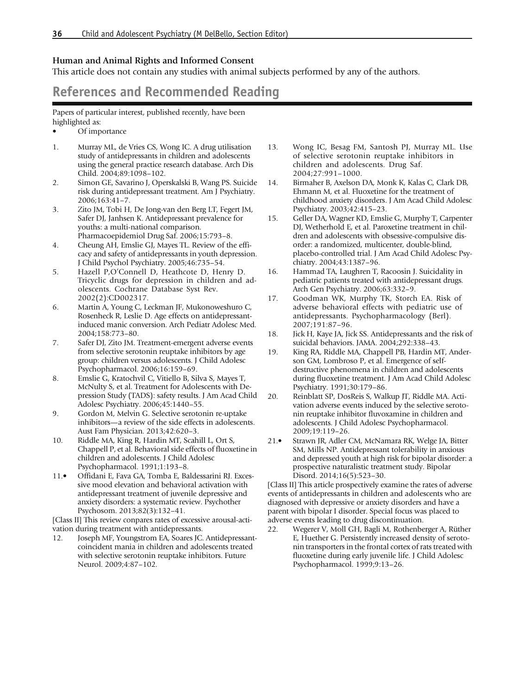#### <span id="page-8-0"></span>Human and Animal Rights and Informed Consent

This article does not contain any studies with animal subjects performed by any of the authors.

### References and Recommended Reading

Papers of particular interest, published recently, have been highlighted as:

- Of importance
- 1. Murray ML, de Vries CS, Wong IC. A drug utilisation study of antidepressants in children and adolescents using the general practice research database. Arch Dis Child. 2004;89:1098–102.
- 2. Simon GE, Savarino J, Operskalski B, Wang PS. Suicide risk during antidepressant treatment. Am J Psychiatry. 2006;163:41–7.
- 3. Zito JM, Tobi H, De Jong-van den Berg LT, Fegert JM, Safer DJ, Janhsen K. Antidepressant prevalence for youths: a multi-national comparison. Pharmacoepidemiol Drug Saf. 2006;15:793–8.
- 4. Cheung AH, Emslie GJ, Mayes TL. Review of the efficacy and safety of antidepressants in youth depression. J Child Psychol Psychiatry. 2005;46:735–54.
- 5. Hazell P,O'Connell D, Heathcote D, Henry D. Tricyclic drugs for depression in children and adolescents. Cochrane Database Syst Rev. 2002(2):CD002317.
- 6. Martin A, Young C, Leckman JF, Mukonoweshuro C, Rosenheck R, Leslie D. Age effects on antidepressantinduced manic conversion. Arch Pediatr Adolesc Med. 2004;158:773–80.
- 7. Safer DJ, Zito JM. Treatment-emergent adverse events from selective serotonin reuptake inhibitors by age group: children versus adolescents. J Child Adolesc Psychopharmacol. 2006;16:159–69.
- 8. Emslie G, Kratochvil C, Vitiello B, Silva S, Mayes T, McNulty S, et al. Treatment for Adolescents with Depression Study (TADS): safety results. J Am Acad Child Adolesc Psychiatry. 2006;45:1440–55.
- 9. Gordon M, Melvin G. Selective serotonin re-uptake inhibitors—a review of the side effects in adolescents. Aust Fam Physician. 2013;42:620–3.
- 10. Riddle MA, King R, Hardin MT, Scahill L, Ort S, Chappell P, et al. Behavioral side effects of fluoxetine in children and adolescents. J Child Adolesc Psychopharmacol. 1991;1:193–8.
- 11.• Offidani E, Fava GA, Tomba E, Baldessarini RJ. Excessive mood elevation and behavioral activation with antidepressant treatment of juvenile depressive and anxiety disorders: a systematic review. Psychother Psychosom. 2013;82(3):132-41.

[Class II] This review conpares rates of excessive arousal-activation during treatment with antidepressants.

12. Joseph MF, Youngstrom EA, Soares JC. Antidepressantcoincident mania in children and adolescents treated with selective serotonin reuptake inhibitors. Future Neurol. 2009;4:87–102.

- 13. Wong IC, Besag FM, Santosh PJ, Murray ML. Use of selective serotonin reuptake inhibitors in children and adolescents. Drug Saf. 2004;27:991–1000.
- 14. Birmaher B, Axelson DA, Monk K, Kalas C, Clark DB, Ehmann M, et al. Fluoxetine for the treatment of childhood anxiety disorders. J Am Acad Child Adolesc Psychiatry. 2003;42:415–23.
- 15. Geller DA, Wagner KD, Emslie G, Murphy T, Carpenter DJ, Wetherhold E, et al. Paroxetine treatment in children and adolescents with obsessive-compulsive disorder: a randomized, multicenter, double-blind, placebo-controlled trial. J Am Acad Child Adolesc Psychiatry. 2004;43:1387–96.
- 16. Hammad TA, Laughren T, Racoosin J. Suicidality in pediatric patients treated with antidepressant drugs. Arch Gen Psychiatry. 2006;63:332–9.
- 17. Goodman WK, Murphy TK, Storch EA. Risk of adverse behavioral effects with pediatric use of antidepressants. Psychopharmacology (Berl). 2007;191:87–96.
- 18. Jick H, Kaye JA, Jick SS. Antidepressants and the risk of suicidal behaviors. JAMA. 2004;292:338–43.
- 19. King RA, Riddle MA, Chappell PB, Hardin MT, Anderson GM, Lombroso P, et al. Emergence of selfdestructive phenomena in children and adolescents during fluoxetine treatment. J Am Acad Child Adolesc Psychiatry. 1991;30:179–86.
- 20. Reinblatt SP, DosReis S, Walkup JT, Riddle MA. Activation adverse events induced by the selective serotonin reuptake inhibitor fluvoxamine in children and adolescents. J Child Adolesc Psychopharmacol. 2009;19:119–26.
- 21.• Strawn JR, Adler CM, McNamara RK, Welge JA, Bitter SM, Mills NP. Antidepressant tolerability in anxious and depressed youth at high risk for bipolar disorder: a prospective naturalistic treatment study. Bipolar Disord. 2014;16(5):523–30.

[Class II] This article prospectively examine the rates of adverse events of antidepressants in children and adolescents who are diagnosed with depressive or anxiety disorders and have a parent with bipolar I disorder. Special focus was placed to adverse events leading to drug discontinuation.

22. Wegerer V, Moll GH, Bagli M, Rothenberger A, Rüther E, Huether G. Persistently increased density of serotonin transporters in the frontal cortex of rats treated with fluoxetine during early juvenile life. J Child Adolesc Psychopharmacol. 1999;9:13–26.